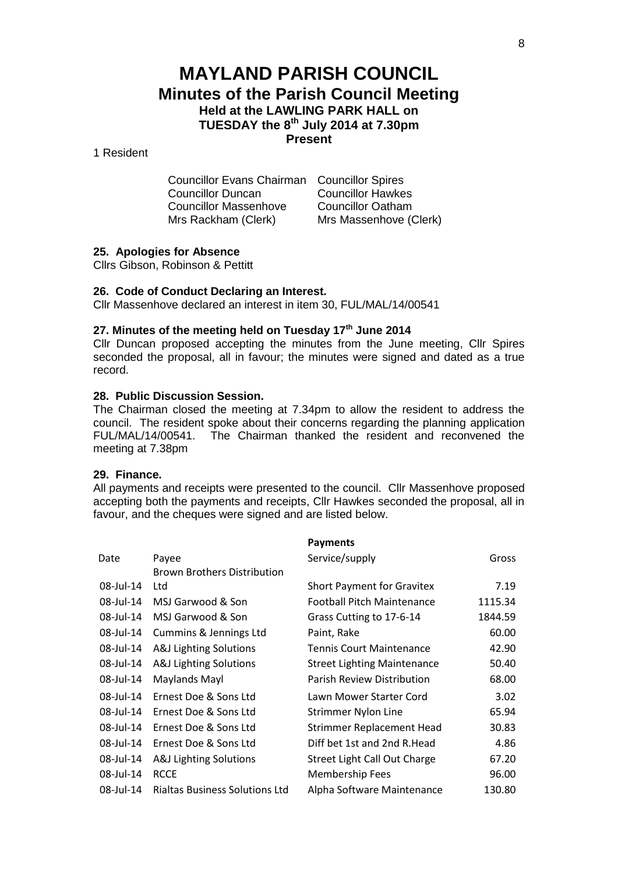# **MAYLAND PARISH COUNCIL Minutes of the Parish Council Meeting Held at the LAWLING PARK HALL on TUESDAY the 8th July 2014 at 7.30pm Present**

# 1 Resident

| <b>Councillor Evans Chairman</b> Councillor Spires |                          |
|----------------------------------------------------|--------------------------|
| <b>Councillor Duncan</b>                           | <b>Councillor Hawkes</b> |
| <b>Councillor Massenhove</b>                       | <b>Councillor Oatham</b> |
| Mrs Rackham (Clerk)                                | Mrs Massenhove (Clerk)   |

### **25. Apologies for Absence**

Cllrs Gibson, Robinson & Pettitt

#### **26. Code of Conduct Declaring an Interest.**

Cllr Massenhove declared an interest in item 30, FUL/MAL/14/00541

# **27. Minutes of the meeting held on Tuesday 17th June 2014**

Cllr Duncan proposed accepting the minutes from the June meeting, Cllr Spires seconded the proposal, all in favour; the minutes were signed and dated as a true record.

### **28. Public Discussion Session.**

The Chairman closed the meeting at 7.34pm to allow the resident to address the council. The resident spoke about their concerns regarding the planning application FUL/MAL/14/00541. The Chairman thanked the resident and reconvened the meeting at 7.38pm

### **29. Finance.**

All payments and receipts were presented to the council. Cllr Massenhove proposed accepting both the payments and receipts, Cllr Hawkes seconded the proposal, all in favour, and the cheques were signed and are listed below.

|           |                                       | <b>Payments</b>                    |         |
|-----------|---------------------------------------|------------------------------------|---------|
| Date      | Payee                                 | Service/supply                     | Gross   |
|           | <b>Brown Brothers Distribution</b>    |                                    |         |
| 08-Jul-14 | Ltd                                   | <b>Short Payment for Gravitex</b>  | 7.19    |
| 08-Jul-14 | MSJ Garwood & Son                     | <b>Football Pitch Maintenance</b>  | 1115.34 |
| 08-Jul-14 | MSJ Garwood & Son                     | Grass Cutting to 17-6-14           | 1844.59 |
| 08-Jul-14 | Cummins & Jennings Ltd                | Paint, Rake                        | 60.00   |
| 08-Jul-14 | A&J Lighting Solutions                | <b>Tennis Court Maintenance</b>    | 42.90   |
| 08-Jul-14 | A&J Lighting Solutions                | <b>Street Lighting Maintenance</b> | 50.40   |
| 08-Jul-14 | Maylands Mayl                         | Parish Review Distribution         | 68.00   |
| 08-Jul-14 | Ernest Doe & Sons Ltd                 | Lawn Mower Starter Cord            | 3.02    |
| 08-Jul-14 | Ernest Doe & Sons Ltd                 | <b>Strimmer Nylon Line</b>         | 65.94   |
| 08-Jul-14 | Ernest Doe & Sons Ltd                 | <b>Strimmer Replacement Head</b>   | 30.83   |
| 08-Jul-14 | Ernest Doe & Sons Ltd                 | Diff bet 1st and 2nd R.Head        | 4.86    |
| 08-Jul-14 | A&J Lighting Solutions                | Street Light Call Out Charge       | 67.20   |
| 08-Jul-14 | <b>RCCE</b>                           | Membership Fees                    | 96.00   |
| 08-Jul-14 | <b>Rialtas Business Solutions Ltd</b> | Alpha Software Maintenance         | 130.80  |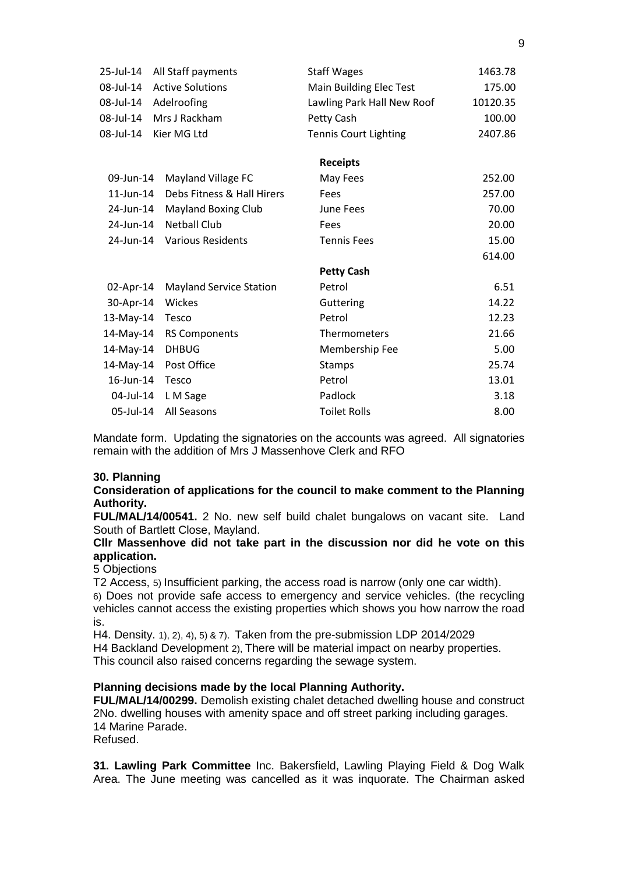| 25-Jul-14       | All Staff payments             | <b>Staff Wages</b>           | 1463.78  |
|-----------------|--------------------------------|------------------------------|----------|
| 08-Jul-14       | <b>Active Solutions</b>        | Main Building Elec Test      | 175.00   |
| 08-Jul-14       | Adelroofing                    | Lawling Park Hall New Roof   | 10120.35 |
| 08-Jul-14       | Mrs J Rackham                  | Petty Cash                   | 100.00   |
| 08-Jul-14       | Kier MG Ltd                    | <b>Tennis Court Lighting</b> | 2407.86  |
|                 |                                | <b>Receipts</b>              |          |
| 09-Jun-14       | Mayland Village FC             | May Fees                     | 252.00   |
| $11$ -Jun- $14$ | Debs Fitness & Hall Hirers     | Fees                         | 257.00   |
| 24-Jun-14       | <b>Mayland Boxing Club</b>     | June Fees                    | 70.00    |
| 24-Jun-14       | <b>Netball Club</b>            | Fees                         | 20.00    |
| 24-Jun-14       | <b>Various Residents</b>       | <b>Tennis Fees</b>           | 15.00    |
|                 |                                |                              | 614.00   |
|                 |                                | <b>Petty Cash</b>            |          |
| 02-Apr-14       | <b>Mayland Service Station</b> | Petrol                       | 6.51     |
| 30-Apr-14       | Wickes                         | Guttering                    | 14.22    |
| 13-May-14       | Tesco                          | Petrol                       | 12.23    |
| 14-May-14       | <b>RS Components</b>           | Thermometers                 | 21.66    |
| 14-May-14       | <b>DHBUG</b>                   | Membership Fee               | 5.00     |
| 14-May-14       | Post Office                    | <b>Stamps</b>                | 25.74    |
| 16-Jun-14       | Tesco                          | Petrol                       | 13.01    |
| 04-Jul-14       | L M Sage                       | Padlock                      | 3.18     |
| 05-Jul-14       | All Seasons                    | <b>Toilet Rolls</b>          | 8.00     |

Mandate form. Updating the signatories on the accounts was agreed. All signatories remain with the addition of Mrs J Massenhove Clerk and RFO

### **30. Planning**

### **Consideration of applications for the council to make comment to the Planning Authority.**

**FUL/MAL/14/00541.** 2 No. new self build chalet bungalows on vacant site. Land South of Bartlett Close, Mayland.

# **Cllr Massenhove did not take part in the discussion nor did he vote on this application.**

# 5 Objections

T2 Access, 5) Insufficient parking, the access road is narrow (only one car width).

6) Does not provide safe access to emergency and service vehicles. (the recycling vehicles cannot access the existing properties which shows you how narrow the road is.

H4. Density. 1), 2), 4), 5) & 7). Taken from the pre-submission LDP 2014/2029 H4 Backland Development 2), There will be material impact on nearby properties. This council also raised concerns regarding the sewage system.

### **Planning decisions made by the local Planning Authority.**

**FUL/MAL/14/00299.** Demolish existing chalet detached dwelling house and construct 2No. dwelling houses with amenity space and off street parking including garages. 14 Marine Parade. Refused.

**31. Lawling Park Committee** Inc. Bakersfield, Lawling Playing Field & Dog Walk Area. The June meeting was cancelled as it was inquorate. The Chairman asked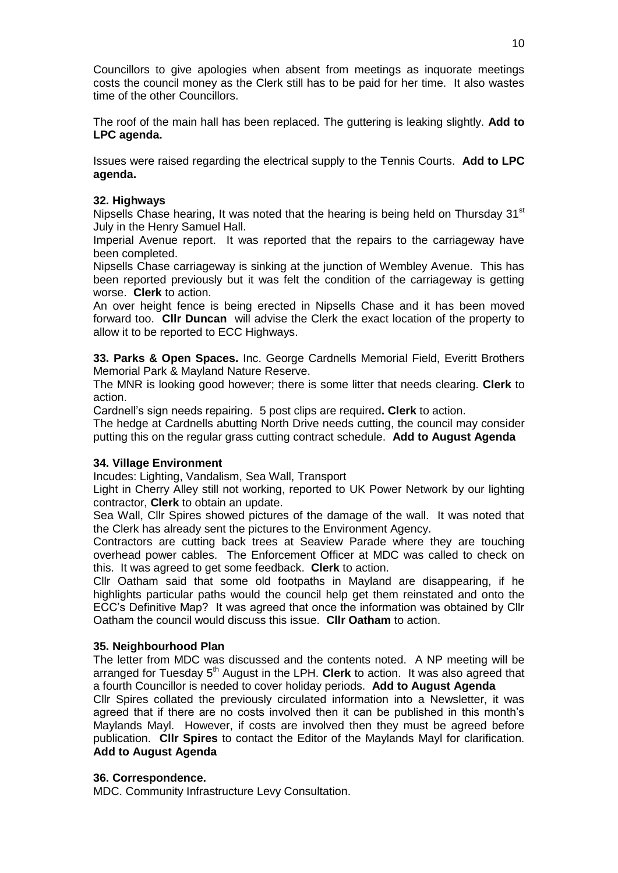Councillors to give apologies when absent from meetings as inquorate meetings costs the council money as the Clerk still has to be paid for her time. It also wastes time of the other Councillors.

The roof of the main hall has been replaced. The guttering is leaking slightly. **Add to LPC agenda.**

Issues were raised regarding the electrical supply to the Tennis Courts. **Add to LPC agenda.**

# **32. Highways**

Nipsells Chase hearing. It was noted that the hearing is being held on Thursday  $31<sup>st</sup>$ July in the Henry Samuel Hall.

Imperial Avenue report. It was reported that the repairs to the carriageway have been completed.

Nipsells Chase carriageway is sinking at the junction of Wembley Avenue. This has been reported previously but it was felt the condition of the carriageway is getting worse. **Clerk** to action.

An over height fence is being erected in Nipsells Chase and it has been moved forward too. **Cllr Duncan** will advise the Clerk the exact location of the property to allow it to be reported to ECC Highways.

**33. Parks & Open Spaces.** Inc. George Cardnells Memorial Field, Everitt Brothers Memorial Park & Mayland Nature Reserve.

The MNR is looking good however; there is some litter that needs clearing. **Clerk** to action.

Cardnell's sign needs repairing. 5 post clips are required**. Clerk** to action.

The hedge at Cardnells abutting North Drive needs cutting, the council may consider putting this on the regular grass cutting contract schedule. **Add to August Agenda**

# **34. Village Environment**

Incudes: Lighting, Vandalism, Sea Wall, Transport

Light in Cherry Alley still not working, reported to UK Power Network by our lighting contractor, **Clerk** to obtain an update.

Sea Wall, Cllr Spires showed pictures of the damage of the wall. It was noted that the Clerk has already sent the pictures to the Environment Agency.

Contractors are cutting back trees at Seaview Parade where they are touching overhead power cables. The Enforcement Officer at MDC was called to check on this. It was agreed to get some feedback. **Clerk** to action.

Cllr Oatham said that some old footpaths in Mayland are disappearing, if he highlights particular paths would the council help get them reinstated and onto the ECC's Definitive Map? It was agreed that once the information was obtained by Cllr Oatham the council would discuss this issue. **Cllr Oatham** to action.

### **35. Neighbourhood Plan**

The letter from MDC was discussed and the contents noted. A NP meeting will be arranged for Tuesday 5<sup>th</sup> August in the LPH. Clerk to action. It was also agreed that a fourth Councillor is needed to cover holiday periods. **Add to August Agenda**

Cllr Spires collated the previously circulated information into a Newsletter, it was agreed that if there are no costs involved then it can be published in this month's Maylands Mayl. However, if costs are involved then they must be agreed before publication. **Cllr Spires** to contact the Editor of the Maylands Mayl for clarification. **Add to August Agenda**

### **36. Correspondence.**

MDC. Community Infrastructure Levy Consultation.